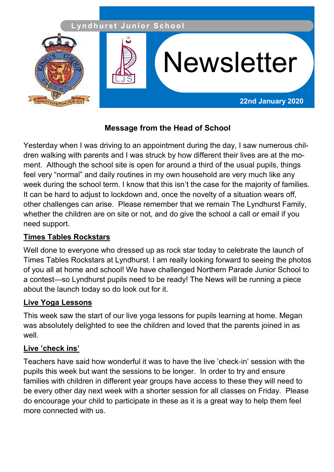

# **Message from the Head of School**

Yesterday when I was driving to an appointment during the day, I saw numerous children walking with parents and I was struck by how different their lives are at the moment. Although the school site is open for around a third of the usual pupils, things feel very "normal" and daily routines in my own household are very much like any week during the school term. I know that this isn't the case for the majority of families. It can be hard to adjust to lockdown and, once the novelty of a situation wears off, other challenges can arise. Please remember that we remain The Lyndhurst Family, whether the children are on site or not, and do give the school a call or email if you need support.

#### **Times Tables Rockstars**

Well done to everyone who dressed up as rock star today to celebrate the launch of Times Tables Rockstars at Lyndhurst. I am really looking forward to seeing the photos of you all at home and school! We have challenged Northern Parade Junior School to a contest—so Lyndhurst pupils need to be ready! The News will be running a piece about the launch today so do look out for it.

#### **Live Yoga Lessons**

This week saw the start of our live yoga lessons for pupils learning at home. Megan was absolutely delighted to see the children and loved that the parents joined in as well.

### **Live 'check ins'**

Teachers have said how wonderful it was to have the live 'check-in' session with the pupils this week but want the sessions to be longer. In order to try and ensure families with children in different year groups have access to these they will need to be every other day next week with a shorter session for all classes on Friday. Please do encourage your child to participate in these as it is a great way to help them feel more connected with us.